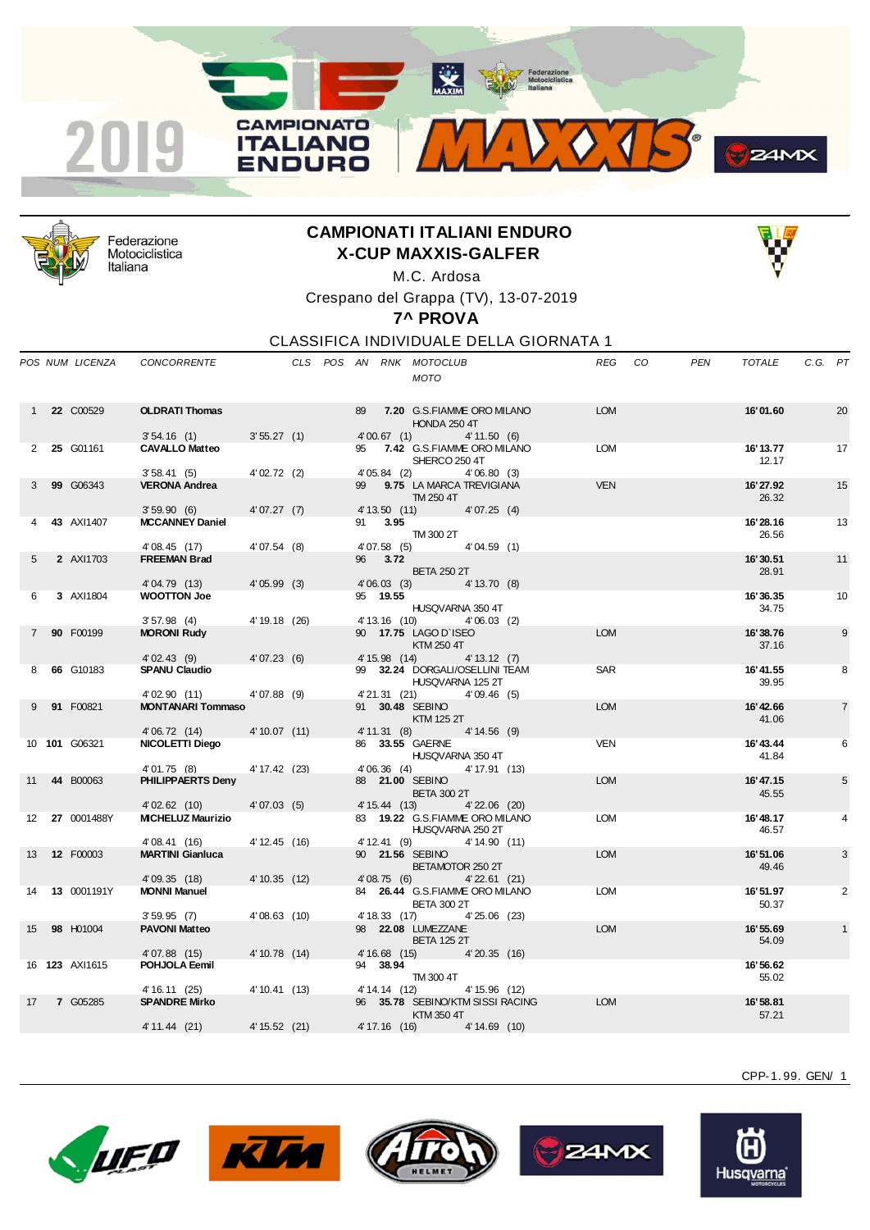



Federazione Motociclistica Italiana

## **CAMPIONATI ITALIANI ENDURO X-CUP MAXXIS-GALFER**



M.C. Ardosa Crespano del Grappa (TV), 13-07-2019

## **7^ PROVA**

CLASSIFICA INDIVIDUALE DELLA GIORNATA 1

|             | POS NUM LICENZA       | <b>CONCORRENTE</b>                          |                 |  |    |                           | CLS POS AN RNK MOTOCLUB<br><b>MOTO</b>               |                | REG        | CO | <b>PEN</b> | <b>TOTALE</b>      | C.G. PT |                |
|-------------|-----------------------|---------------------------------------------|-----------------|--|----|---------------------------|------------------------------------------------------|----------------|------------|----|------------|--------------------|---------|----------------|
|             | 22 C00529             | <b>OLDRATI Thomas</b>                       |                 |  | 89 |                           | 7.20 G.S.FIAMME ORO MILANO<br>HONDA 250 4T           |                | <b>LOM</b> |    |            | 16'01.60           |         | 20             |
|             |                       | 3'54.16(1)                                  | 3'55.27(1)      |  |    | 4'00.67(1)                |                                                      | 4' 11.50 (6)   |            |    |            |                    |         |                |
| 2           | 25 G01161             | <b>CAVALLO Matteo</b>                       |                 |  | 95 |                           | 7.42 G.S.FIAMME ORO MILANO<br>SHERCO 250 4T          |                | <b>LOM</b> |    |            | 16' 13.77<br>12.17 |         | 17             |
|             |                       | 3'58.41(5)                                  | 4'02.72(2)      |  |    | 4'05.84(2)                |                                                      | 4'06.80(3)     |            |    |            |                    |         |                |
|             | 99 G06343             | <b>VERONA Andrea</b><br>3'59.90(6)          | 4'07.27(7)      |  | 99 | 4' 13.50 (11)             | 9.75 LA MARCA TREVIGIANA<br>TM 250 4T                | 4'07.25(4)     | <b>VEN</b> |    |            | 16'27.92<br>26.32  |         | 15             |
|             | 43 AXI1407            | <b>MCCANNEY Daniel</b>                      |                 |  | 91 | 3.95                      |                                                      |                |            |    |            | 16'28.16           |         | 13             |
|             |                       |                                             |                 |  |    |                           | TM 300 2T                                            |                |            |    |            | 26.56              |         |                |
|             |                       | 4'08.45 (17)                                | 4'07.54(8)      |  |    | 4'07.58(5)                |                                                      | 4'04.59(1)     |            |    |            |                    |         |                |
| 5           | 2 AXI1703             | <b>FREEMAN Brad</b>                         |                 |  | 96 | 3.72                      | <b>BETA 250 2T</b>                                   |                |            |    |            | 16'30.51<br>28.91  |         | 11             |
|             |                       | 4'04.79 (13)                                | $4'05.99$ (3)   |  |    | 4'06.03(3)                |                                                      | 4' 13.70 (8)   |            |    |            |                    |         |                |
| 6           | 3 AXI1804             | <b>WOOTTON Joe</b><br>3'57.98(4)            | 4' 19.18 (26)   |  |    | 95 19.55<br>4' 13.16 (10) | HUSQVARNA 350 4T                                     | 4'06.03(2)     |            |    |            | 16'36.35<br>34.75  |         | 10             |
| $7^{\circ}$ | 90 F00199             | <b>MORONI Rudy</b>                          |                 |  |    |                           | 90 17.75 LAGO D'ISEO                                 |                | <b>LOM</b> |    |            | 16'38.76           |         | 9              |
|             |                       | 4'02.43(9)                                  | 4'07.23(6)      |  |    | 4' 15.98 (14)             | KTM 250 4T                                           | 4' 13.12 (7)   |            |    |            | 37.16              |         |                |
| 8           | 66 G10183             | <b>SPANU Claudio</b>                        |                 |  |    |                           | 99 32.24 DORGALI/OSELLINI TEAM                       |                | SAR        |    |            | 16' 41.55          |         | 8              |
|             |                       | 4'02.90(11)                                 | $4'07.88$ (9)   |  |    | 4'21.31 (21)              | HUSQVARNA 125 2T                                     | 4'09.46(5)     |            |    |            | 39.95              |         |                |
| 9           | 91 F00821             | <b>MONTANARI Tommaso</b>                    |                 |  |    |                           | 91 30.48 SEBINO<br><b>KTM 125 2T</b>                 |                | <b>LOM</b> |    |            | 16' 42.66<br>41.06 |         | $\overline{7}$ |
|             |                       | 4' 06.72 (14)                               | 4' 10.07 (11)   |  |    | 4' 11.31 (8)              |                                                      | $4' 14.56$ (9) |            |    |            |                    |         |                |
|             | 10 101 G06321         | <b>NICOLETTI Diego</b>                      |                 |  |    |                           | 86 33.55 GAERNE<br>HUSQVARNA 350 4T                  |                | <b>VEN</b> |    |            | 16' 43.44<br>41.84 |         | 6              |
|             |                       | 4' 01.75 (8)                                | 4' 17.42 (23)   |  |    | 4'06.36(4)                |                                                      | 4' 17.91 (13)  |            |    |            |                    |         |                |
| 11          | 44 B00063             | <b>PHILIPPAERTS Denv</b>                    |                 |  |    |                           | 88 21.00 SEBINO<br><b>BETA 300 2T</b>                |                | <b>LOM</b> |    |            | 16' 47.15<br>45.55 |         | 5              |
| 12          | 27 0001488Y           | $4' 02.62$ (10)<br><b>MICHELUZ Maurizio</b> | 4'07.03(5)      |  |    | 4' 15.44 (13)             | 83 19.22 G.S.FIAMME ORO MILANO                       | $4'22.06$ (20) | <b>LOM</b> |    |            | 16'48.17           |         | 4              |
|             |                       | 4'08.41(16)                                 | $4' 12.45$ (16) |  |    | 4' 12.41 (9)              | HUSQVARNA 250 2T                                     | 4' 14.90 (11)  |            |    |            | 46.57              |         |                |
| 13          | 12 F00003             | <b>MARTINI Gianluca</b>                     |                 |  |    |                           | 90 21.56 SEBINO                                      |                | <b>LOM</b> |    |            | 16'51.06           |         | 3              |
|             |                       |                                             |                 |  |    |                           | BETAMOTOR 250 2T                                     |                |            |    |            | 49.46              |         |                |
|             |                       | 4' 09.35 (18)                               | 4' 10.35 (12)   |  |    | 4'08.75(6)                |                                                      | $4'22.61$ (21) |            |    |            |                    |         |                |
| 14          | 13 0001191Y           | <b>MONNI Manuel</b>                         |                 |  |    |                           | 84 26.44 G.S.FIAMME ORO MILANO<br><b>BETA 300 2T</b> |                | <b>LOM</b> |    |            | 16'51.97<br>50.37  |         | 2              |
|             |                       | $3'59.95$ (7)                               | 4'08.63(10)     |  |    | 4' 18.33 (17)             |                                                      | 4'25.06 (23)   |            |    |            |                    |         |                |
| 15          | 98 H01004             | <b>PAVONI Matteo</b>                        |                 |  |    |                           | 98 22.08 LUMEZZANE<br><b>BETA 125 2T</b>             |                | <b>LOM</b> |    |            | 16'55.69<br>54.09  |         | $\mathbf{1}$   |
|             | 16 <b>123</b> AXI1615 | 4'07.88 (15)<br>POHJOLA Eemil               | 4' 10.78 (14)   |  |    | 4'16.68(15)<br>94 38.94   |                                                      | 4'20.35(16)    |            |    |            | 16'56.62           |         |                |
|             |                       | 4' 16.11 (25)                               | 4' 10.41 (13)   |  |    | 4' 14.14 (12)             | TM 300 4T                                            | 4' 15.96 (12)  |            |    |            | 55.02              |         |                |
| 17          | 7 G05285              | <b>SPANDRE Mirko</b>                        |                 |  |    |                           | 96 35.78 SEBINO/KTM SISSI RACING                     |                | <b>LOM</b> |    |            | 16' 58.81          |         |                |
|             |                       | 4' 11.44 (21)                               | 4' 15.52 (21)   |  |    | 4' 17.16 (16)             | KTM 350 4T                                           | 4' 14.69 (10)  |            |    |            | 57.21              |         |                |
|             |                       |                                             |                 |  |    |                           |                                                      |                |            |    |            |                    |         |                |









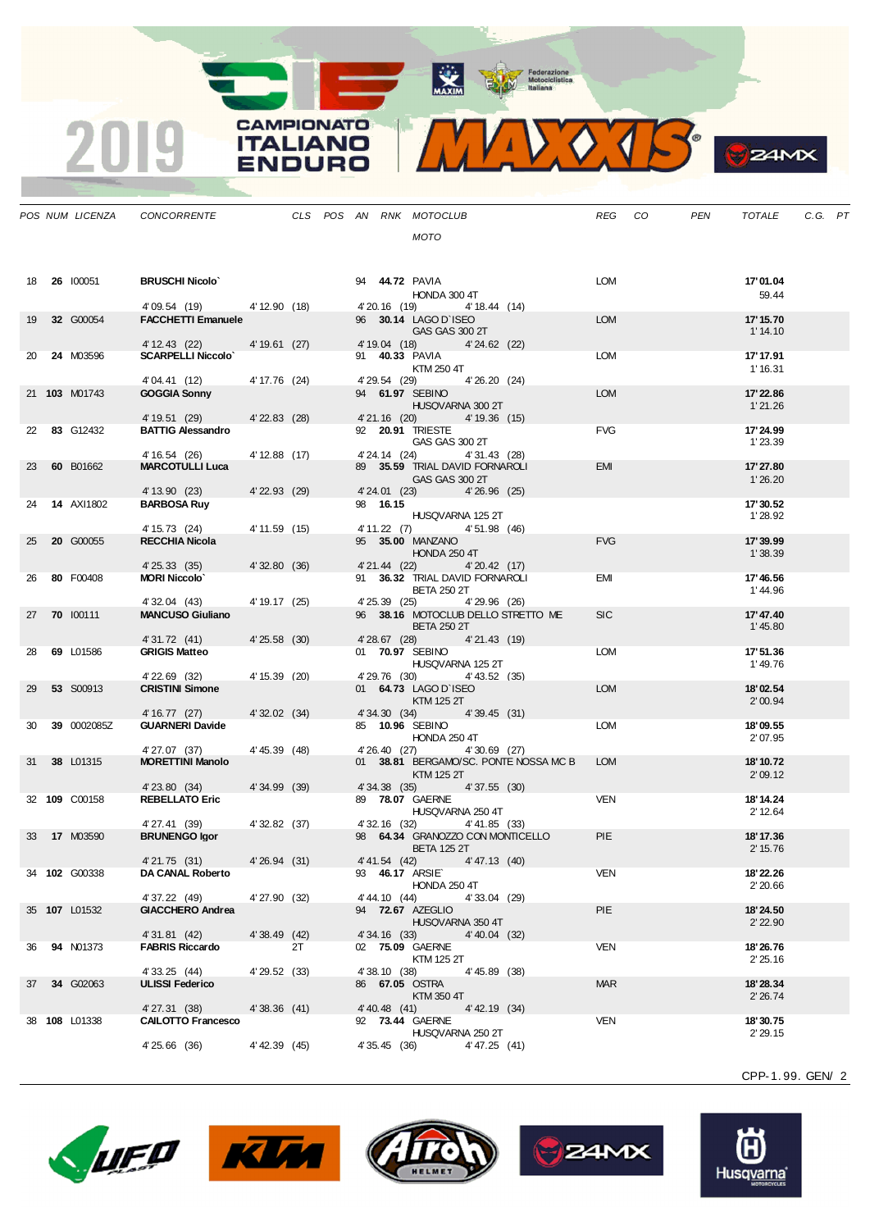MAXIM BOOR Motociclistica

**CAMPIONATO** 

**ITALIANO** 

**ENDURO** 

2019



**S**ZAMX

|    | POS NUM LICENZA      | CONCORRENTE                              |                   |    |  |               | CLS POS AN RNK MOTOCLUB                           |                |                                       | REG        | CO | PEN | TOTALE                | C.G. PT |  |
|----|----------------------|------------------------------------------|-------------------|----|--|---------------|---------------------------------------------------|----------------|---------------------------------------|------------|----|-----|-----------------------|---------|--|
|    |                      |                                          |                   |    |  |               | <b>MOTO</b>                                       |                |                                       |            |    |     |                       |         |  |
|    |                      |                                          |                   |    |  |               |                                                   |                |                                       |            |    |     |                       |         |  |
| 18 | 26 100051            | <b>BRUSCHI Nicolo'</b>                   |                   |    |  |               | 94 <b>44.72 PAVIA</b>                             |                |                                       | LOM        |    |     | 17'01.04              |         |  |
|    |                      |                                          |                   |    |  |               | HONDA 300 4T                                      |                |                                       |            |    |     | 59.44                 |         |  |
|    |                      | 4'09.54 (19) 4'12.90 (18)                |                   |    |  |               | 4' 20.16 (19)                                     | 4' 18.44 (14)  |                                       |            |    |     |                       |         |  |
| 19 | 32 G00054            | <b>FACCHETTI Emanuele</b>                |                   |    |  |               | 96 30.14 LAGO D'ISEO<br>GAS GAS 300 2T            |                |                                       | <b>LOM</b> |    |     | 17' 15.70<br>1' 14.10 |         |  |
|    |                      | 4' 12.43 (22)                            | 4' 19.61 (27)     |    |  | 4' 19.04 (18) |                                                   | 4'24.62 (22)   |                                       |            |    |     |                       |         |  |
| 20 | 24 M03596            | <b>SCARPELLI Niccolo'</b>                |                   |    |  |               | 91 <b>40.33 PAVIA</b>                             |                |                                       | <b>LOM</b> |    |     | 17' 17.91             |         |  |
|    |                      | 4'04.41 (12)                             | 4' 17.76 (24)     |    |  |               | KTM 250 4T<br>4'29.54 (29) 4'26.20 (24)           |                |                                       |            |    |     | 1' 16.31              |         |  |
|    | 21 103 M01743        | <b>GOGGIA Sonny</b>                      |                   |    |  |               | 94 61.97 SEBINO                                   |                |                                       | <b>LOM</b> |    |     | 17' 22.86             |         |  |
|    |                      | 4' 19.51 (29)                            | 4'22.83(28)       |    |  |               | HUSQVARNA 300 2T<br>4'21.16 (20) 4'19.36 (15)     |                |                                       |            |    |     | 1'21.26               |         |  |
| 22 | 83 G12432            | <b>BATTIG Alessandro</b>                 |                   |    |  |               | 92 20.91 TRIESTE                                  |                |                                       | <b>FVG</b> |    |     | 17' 24.99             |         |  |
|    |                      |                                          |                   |    |  |               | GAS GAS 300 2T                                    |                |                                       |            |    |     | 1'23.39               |         |  |
| 23 | 60 B01662            | 4' 16.54 (26)<br><b>MARCOTULLI Luca</b>  | 4' 12.88 (17)     |    |  |               | 4' 24.14 (24)<br>89 35.59 TRIAL DAVID FORNAROLI   | 4'31.43 (28)   |                                       | <b>EMI</b> |    |     | 17' 27.80             |         |  |
|    |                      |                                          |                   |    |  |               | GAS GAS 300 2T                                    |                |                                       |            |    |     | 1'26.20               |         |  |
|    |                      | 4' 13.90 (23)                            | $4'$ 22.93 $(29)$ |    |  | 98 16.15      | 4' 24.01 (23)                                     | 4'26.96(25)    |                                       |            |    |     | 17'30.52              |         |  |
| 24 | <b>14 AXI1802</b>    | <b>BARBOSA Ruy</b>                       |                   |    |  |               | HUSQVARNA 125 2T                                  |                |                                       |            |    |     | 1'28.92               |         |  |
|    |                      | 4' 15.73 (24)                            | 4' 11.59 (15)     |    |  |               | 4' 11.22 (7) 4' 51.98 (46)                        |                |                                       |            |    |     |                       |         |  |
| 25 | 20 G00055            | <b>RECCHIA Nicola</b>                    |                   |    |  |               | 95 35.00 MANZANO<br><b>HONDA 250 4T</b>           |                |                                       | <b>FVG</b> |    |     | 17'39.99<br>1'38.39   |         |  |
|    |                      | 4' 25.33 (35)                            | 4'32.80(36)       |    |  |               | 4'21.44 (22)                                      | 4'20.42 (17)   |                                       |            |    |     |                       |         |  |
| 26 | 80 F00408            | <b>MORI Niccolo'</b>                     |                   |    |  |               | 91 36.32 TRIAL DAVID FORNAROLI                    |                |                                       | EMI        |    |     | 17' 46.56             |         |  |
|    |                      | 4' 32.04 (43)                            | 4' 19.17 (25)     |    |  | 4' 25.39 (25) | <b>BETA 250 2T</b>                                | 4'29.96 (26)   |                                       |            |    |     | 1'44.96               |         |  |
| 27 | 70 100111            | <b>MANCUSO Giuliano</b>                  |                   |    |  |               |                                                   |                | 96 38.16 MOTOCLUB DELLO STRETTO ME    | <b>SIC</b> |    |     | 17' 47.40             |         |  |
|    |                      | 4' 31.72 (41)                            | 4'25.58(30)       |    |  | 4'28.67 (28)  | <b>BETA 250 2T</b>                                | 4'21.43 (19)   |                                       |            |    |     | 1' 45.80              |         |  |
| 28 | 69 L01586            | <b>GRIGIS Matteo</b>                     |                   |    |  |               | 01 70.97 SEBINO                                   |                |                                       | <b>LOM</b> |    |     | 17' 51.36             |         |  |
|    |                      |                                          |                   |    |  |               | HUSQVARNA 125 2T                                  |                |                                       |            |    |     | 1'49.76               |         |  |
| 29 | <b>53 S00913</b>     | 4'22.69 (32)<br><b>CRISTINI Simone</b>   | 4' 15.39 (20)     |    |  | 4'29.76 (30)  | 01 64.73 LAGO D'ISEO                              | 4'43.52 (35)   |                                       | <b>LOM</b> |    |     | 18'02.54              |         |  |
|    |                      |                                          |                   |    |  |               | KTM 125 2T                                        |                |                                       |            |    |     | 2'00.94               |         |  |
| 30 | 39 0002085Z          | 4' 16.77 (27)<br><b>GUARNERI Davide</b>  | 4'32.02(34)       |    |  | 4' 34.30 (34) | 85 10.96 SEBINO                                   | 4'39.45 (31)   |                                       | <b>LOM</b> |    |     | 18'09.55              |         |  |
|    |                      |                                          |                   |    |  |               | <b>HONDA 250 4T</b>                               |                |                                       |            |    |     | 2'07.95               |         |  |
|    |                      | 4'27.07 (37)                             | 4'45.39(48)       |    |  |               | 4' 26.40 (27) 4' 30.69 (27)                       |                |                                       |            |    |     |                       |         |  |
| 31 | 38 L01315            | <b>MORETTINI Manolo</b>                  |                   |    |  |               | KTM 125 2T                                        |                | 01 38.81 BERGAMO/SC. PONTE NOSSA MC B | <b>LOM</b> |    |     | 18'10.72<br>2'09.12   |         |  |
|    |                      | 4'23.80 (34)                             | 4'34.99(39)       |    |  |               | 4' 34.38 (35) 4' 37.55 (30)                       |                |                                       |            |    |     |                       |         |  |
|    | 32 109 C00158        | <b>REBELLATO Eric</b>                    |                   |    |  |               | 89 78.07 GAERNE<br>HUSQVARNA 250 4T               |                |                                       | <b>VEN</b> |    |     | 18'14.24<br>2' 12.64  |         |  |
|    |                      | 4'27.41 (39)                             | 4'32.82 (37)      |    |  |               | 4' 32.16 (32)                                     | 4'41.85 (33)   |                                       |            |    |     |                       |         |  |
| 33 | <b>17 M03590</b>     | <b>BRUNENGO Igor</b>                     |                   |    |  |               |                                                   |                | 98 64.34 GRANOZZO CON MONTICELLO      | <b>PIE</b> |    |     | 18'17.36              |         |  |
|    |                      | 4'21.75 (31)                             | 4'26.94 (31)      |    |  |               | <b>BETA 125 2T</b><br>4' 41.54 (42) 4' 47.13 (40) |                |                                       |            |    |     | 2' 15.76              |         |  |
|    | 34 <b>102</b> G00338 | DA CANAL Roberto                         |                   |    |  |               | 93 46.17 ARSIE                                    |                |                                       | <b>VEN</b> |    |     | 18'22.26              |         |  |
|    |                      |                                          | 4'27.90 (32)      |    |  | 4' 44.10 (44) | HONDA 250 4T                                      | $4'33.04$ (29) |                                       |            |    |     | 2'20.66               |         |  |
|    | 35 107 L01532        | 4' 37.22 (49)<br><b>GIACCHERO Andrea</b> |                   |    |  |               | 94 72.67 AZEGLIO                                  |                |                                       | <b>PIE</b> |    |     | 18'24.50              |         |  |
|    |                      |                                          |                   |    |  |               | HUSQVARNA 350 4T                                  |                |                                       |            |    |     | 2' 22.90              |         |  |
| 36 | <b>94 N01373</b>     | 4'31.81 (42)<br><b>FABRIS Riccardo</b>   | 4'38.49(42)       | 2T |  | 4' 34.16 (33) | 02 75.09 GAERNE                                   | 4'40.04 (32)   |                                       | VEN        |    |     | 18'26.76              |         |  |
|    |                      |                                          |                   |    |  |               | KTM 125 2T                                        |                |                                       |            |    |     | 2'25.16               |         |  |
|    |                      | 4' 33.25 (44)                            | 4'29.52 (33)      |    |  | 4' 38.10 (38) |                                                   | 4'45.89 (38)   |                                       |            |    |     |                       |         |  |
| 37 | 34 G02063            | <b>ULISSI Federico</b>                   |                   |    |  |               | 86 67.05 OSTRA<br>KTM 350 4T                      |                |                                       | <b>MAR</b> |    |     | 18'28.34<br>2'26.74   |         |  |
|    |                      | 4'27.31 (38)                             | 4'38.36(41)       |    |  |               | 4'40.48 (41)                                      | 4' 42.19 (34)  |                                       |            |    |     |                       |         |  |
|    | 38 108 L01338        | <b>CALOTTO Francesco</b>                 |                   |    |  |               | 92 73.44 GAERNE<br>HUSQVARNA 250 2T               |                |                                       | <b>VEN</b> |    |     | 18'30.75<br>2'29.15   |         |  |
|    |                      | 4'25.66 (36)                             | 4' 42.39 (45)     |    |  | 4' 35.45 (36) |                                                   | 4'47.25 (41)   |                                       |            |    |     |                       |         |  |
|    |                      |                                          |                   |    |  |               |                                                   |                |                                       |            |    |     |                       |         |  |









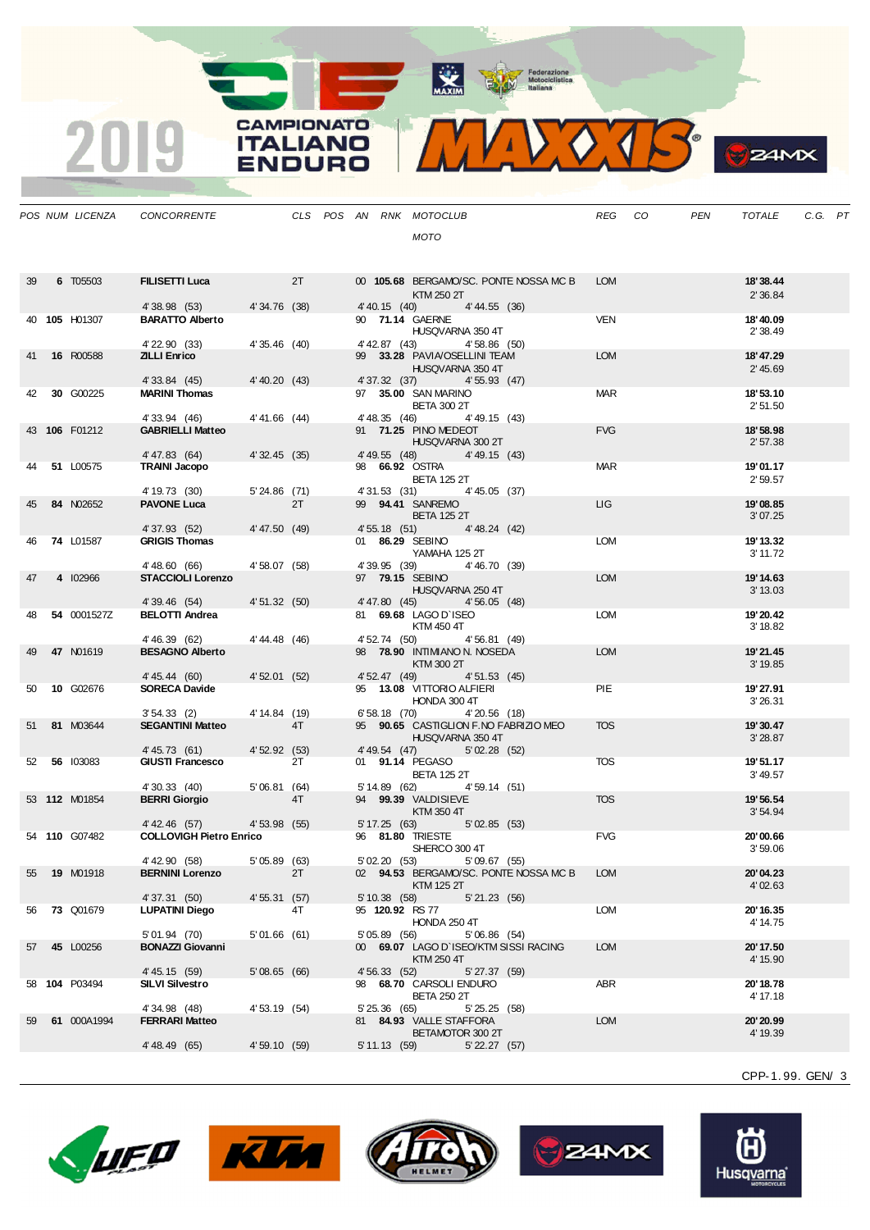MAXIM BOOR Motociclistica

**CAMPIONATO** 

**ITALIANO** 

**ENDURO** 

2019



**S**ZAMX

|    | POS NUM LICENZA  | CONCORRENTE                             |                 |    |  |                 | CLS POS AN RNK MOTOCLUB                              | REG        | CO | <b>PEN</b> | <b>TOTALE</b>         | $C.G.$ $PT$ |  |
|----|------------------|-----------------------------------------|-----------------|----|--|-----------------|------------------------------------------------------|------------|----|------------|-----------------------|-------------|--|
|    |                  |                                         |                 |    |  |                 | <b>MOTO</b>                                          |            |    |            |                       |             |  |
|    |                  |                                         |                 |    |  |                 |                                                      |            |    |            |                       |             |  |
| 39 | 6 T05503         | <b>FILISETTI Luca</b>                   |                 | 2T |  |                 | 00 105.68 BERGAMO/SC. PONTE NOSSA MC B<br>KTM 250 2T | <b>LOM</b> |    |            | 18'38.44<br>2' 36.84  |             |  |
|    |                  | 4'38.98 (53)                            | 4'34.76 (38)    |    |  | 4' 40.15 (40)   | 4'44.55(36)                                          |            |    |            |                       |             |  |
|    | 40 105 H01307    | <b>BARATTO Alberto</b>                  |                 |    |  |                 | 90 71.14 GAERNE<br>HUSQVARNA 350 4T                  | <b>VEN</b> |    |            | 18'40.09<br>2' 38.49  |             |  |
|    |                  | 4' 22.90 (33)                           | 4'35.46(40)     |    |  |                 | 4' 42.87 (43)<br>4'58.86(50)                         |            |    |            |                       |             |  |
| 41 | 16 R00588        | <b>ZILLI Enrico</b>                     |                 |    |  |                 | 99 33.28 PAVIA/OSELLINI TEAM<br>HUSQVARNA 350 4T     | <b>LOM</b> |    |            | 18' 47.29<br>2' 45.69 |             |  |
|    |                  | 4' 33.84 (45)                           | 4'40.20(43)     |    |  |                 | 4' 37.32 (37) 4' 55.93 (47)                          |            |    |            |                       |             |  |
| 42 | 30 G00225        | <b>MARINI Thomas</b>                    |                 |    |  |                 | 97 35.00 SAN MARINO<br><b>BETA 300 2T</b>            | MAR        |    |            | 18'53.10<br>2'51.50   |             |  |
|    |                  | 4' 33.94 (46)                           | $4' 41.66$ (44) |    |  |                 | 4' 48.35 (46) 4' 49.15 (43)                          |            |    |            |                       |             |  |
|    | 43 106 F01212    | <b>GABRIELLI Matteo</b>                 |                 |    |  |                 | 91 71.25 PINO MEDEOT<br>HUSQVARNA 300 2T             | <b>FVG</b> |    |            | 18'58.98<br>2'57.38   |             |  |
|    |                  | 4'47.83 (64)                            | 4'32.45(35)     |    |  |                 | 4' 49.55 (48) 4' 49.15 (43)                          |            |    |            |                       |             |  |
| 44 | 51 L00575        | <b>TRAINI Jacopo</b>                    |                 |    |  |                 | 98 66.92 OSTRA<br><b>BETA 125 2T</b>                 | <b>MAR</b> |    |            | 19'01.17<br>2'59.57   |             |  |
|    |                  | 4' 19.73 (30)                           | 5'24.86 (71)    |    |  |                 | 4' 31.53 (31) 4' 45.05 (37)                          |            |    |            |                       |             |  |
| 45 | 84 N02652        | <b>PAVONE Luca</b>                      |                 | 2T |  |                 | 99 94.41 SANREMO<br><b>BETA 125 2T</b>               | LIG        |    |            | 19'08.85              |             |  |
|    |                  | 4'37.93 (52)                            | 4' 47.50 (49)   |    |  |                 | 4' 55.18 (51) 4' 48.24 (42)                          |            |    |            | 3'07.25               |             |  |
| 46 | 74 L01587        | <b>GRIGIS Thomas</b>                    |                 |    |  |                 | 01 86.29 SEBINO                                      | <b>LOM</b> |    |            | 19'13.32              |             |  |
|    |                  | 4'48.60 (66)                            | 4'58.07(58)     |    |  |                 | YAMAHA 125 2T<br>4'46.70 (39)<br>4'39.95 (39)        |            |    |            | 3' 11.72              |             |  |
| 47 | 4 102966         | <b>STACCIOLI Lorenzo</b>                |                 |    |  |                 | 97 79.15 SEBINO                                      | <b>LOM</b> |    |            | 19' 14.63             |             |  |
|    |                  | 4'39.46 (54)                            | 4'51.32(50)     |    |  |                 | HUSQVARNA 250 4T<br>4'47.80 (45)<br>4'56.05(48)      |            |    |            | 3' 13.03              |             |  |
| 48 | 54 0001527Z      | <b>BELOTTI Andrea</b>                   |                 |    |  |                 | 81 69.68 LAGO D'ISEO                                 | <b>LOM</b> |    |            | 19' 20.42             |             |  |
|    |                  | 4'46.39 (62)                            | 4'44.48(46)     |    |  | 4' 52.74 (50)   | KTM 450 4T<br>4'56.81(49)                            |            |    |            | 3' 18.82              |             |  |
| 49 | 47 N01619        | <b>BESAGNO Alberto</b>                  |                 |    |  |                 | 98 78.90 INTIMIANO N. NOSEDA                         | <b>LOM</b> |    |            | 19'21.45              |             |  |
|    |                  | 4' 45.44 (60)                           | 4'52.01(52)     |    |  | 4' 52.47 (49)   | KTM 300 2T<br>4'51.53(45)                            |            |    |            | 3' 19.85              |             |  |
| 50 | 10 G02676        | <b>SORECA Davide</b>                    |                 |    |  |                 | 95 13.08 VITTORIO ALFIERI                            | <b>PIE</b> |    |            | 19' 27.91             |             |  |
|    |                  | 3'54.33(2)                              | 4' 14.84 (19)   |    |  |                 | HONDA 300 4T<br>6' 58.18 (70) 4' 20.56 (18)          |            |    |            | 3'26.31               |             |  |
| 51 | 81 M03644        | <b>SEGANTINI Matteo</b>                 |                 | 4T |  |                 | 95 90.65 CASTIGLION F.NO FABRIZIO MEO                | <b>TOS</b> |    |            | 19'30.47              |             |  |
|    |                  | 4' 45.73 (61)                           | 4' 52.92 (53)   |    |  |                 | HUSQVARNA 350 4T<br>4'49.54 (47) 5'02.28 (52)        |            |    |            | 3' 28.87              |             |  |
| 52 | 56 103083        | <b>GIUSTI Francesco</b>                 |                 | 2T |  |                 | 01 91.14 PEGASO                                      | <b>TOS</b> |    |            | 19'51.17              |             |  |
|    |                  | 4' 30.33 (40)                           | 5'06.81(64)     |    |  |                 | <b>BETA 125 2T</b><br>5' 14.89 (62) 4' 59.14 (51)    |            |    |            | 3'49.57               |             |  |
|    | 53 112 M01854    | <b>BERRI Giorgio</b>                    |                 | 4T |  |                 | 94 99.39 VALDISIEVE                                  | <b>TOS</b> |    |            | 19' 56.54             |             |  |
|    |                  | 4' 42.46 (57)                           | 4'53.98(55)     |    |  | 5' 17.25 (63)   | KTM 350 4T<br>5'02.85(53)                            |            |    |            | 3'54.94               |             |  |
|    | 54 110 G07482    | <b>COLLOVIGH Pietro Enrico</b>          |                 |    |  |                 | 96 81.80 TRIESTE                                     | <b>FVG</b> |    |            | 20'00.66              |             |  |
|    |                  | 4'42.90 (58)                            | 5'05.89 (63)    |    |  |                 | SHERCO 300 4T<br>5'02.20 (53) 5'09.67 (55)           |            |    |            | 3'59.06               |             |  |
| 55 | <b>19 M01918</b> | <b>BERNINI Lorenzo</b>                  |                 | 2T |  |                 | 02 94.53 BERGAMO/SC. PONTE NOSSA MC B                | <b>LOM</b> |    |            | 20'04.23              |             |  |
|    |                  | 4' 37.31 (50)                           | 4'55.31 (57)    |    |  | 5'10.38(58)     | KTM 125 2T                                           |            |    |            | 4'02.63               |             |  |
| 56 | <b>73 Q01679</b> | <b>LUPATINI Diego</b>                   |                 | 4T |  |                 | 5'21.23(56)<br>95 120.92 RS 77                       | <b>LOM</b> |    |            | 20' 16.35             |             |  |
|    |                  |                                         |                 |    |  |                 | HONDA 250 4T<br>$5'06.86$ (54)                       |            |    |            | 4' 14.75              |             |  |
| 57 | 45 L00256        | 5'01.94 (70)<br><b>BONAZZI Giovanni</b> | 5'01.66(61)     |    |  | 5'05.89(56)     | 00 69.07 LAGO D'ISEO/KTM SISSI RACING                | <b>LOM</b> |    |            | 20' 17.50             |             |  |
|    |                  | 4' 45.15 (59)                           |                 |    |  |                 | KTM 250 4T                                           |            |    |            | 4' 15.90              |             |  |
|    | 58 104 P03494    | <b>SILVI Silvestro</b>                  | 5'08.65(66)     |    |  | 4' 56.33 (52)   | 5' 27.37 (59)<br>98 68.70 CARSOLI ENDURO             | ABR        |    |            | 20'18.78              |             |  |
|    |                  |                                         |                 |    |  |                 | <b>BETA 250 2T</b>                                   |            |    |            | 4' 17.18              |             |  |
| 59 | 61 000A1994      | 4'34.98 (48)<br><b>FERRARI Matteo</b>   | 4' 53.19 (54)   |    |  | 5'25.36(65)     | 5'25.25(58)<br>81 84.93 VALLE STAFFORA               | <b>LOM</b> |    |            | 20'20.99              |             |  |
|    |                  |                                         |                 |    |  |                 | BETAMOTOR 300 2T                                     |            |    |            | 4' 19.39              |             |  |
|    |                  | 4' 48.49 (65)                           | 4'59.10(59)     |    |  | $5'$ 11.13 (59) | $5'$ 22.27 $(57)$                                    |            |    |            |                       |             |  |









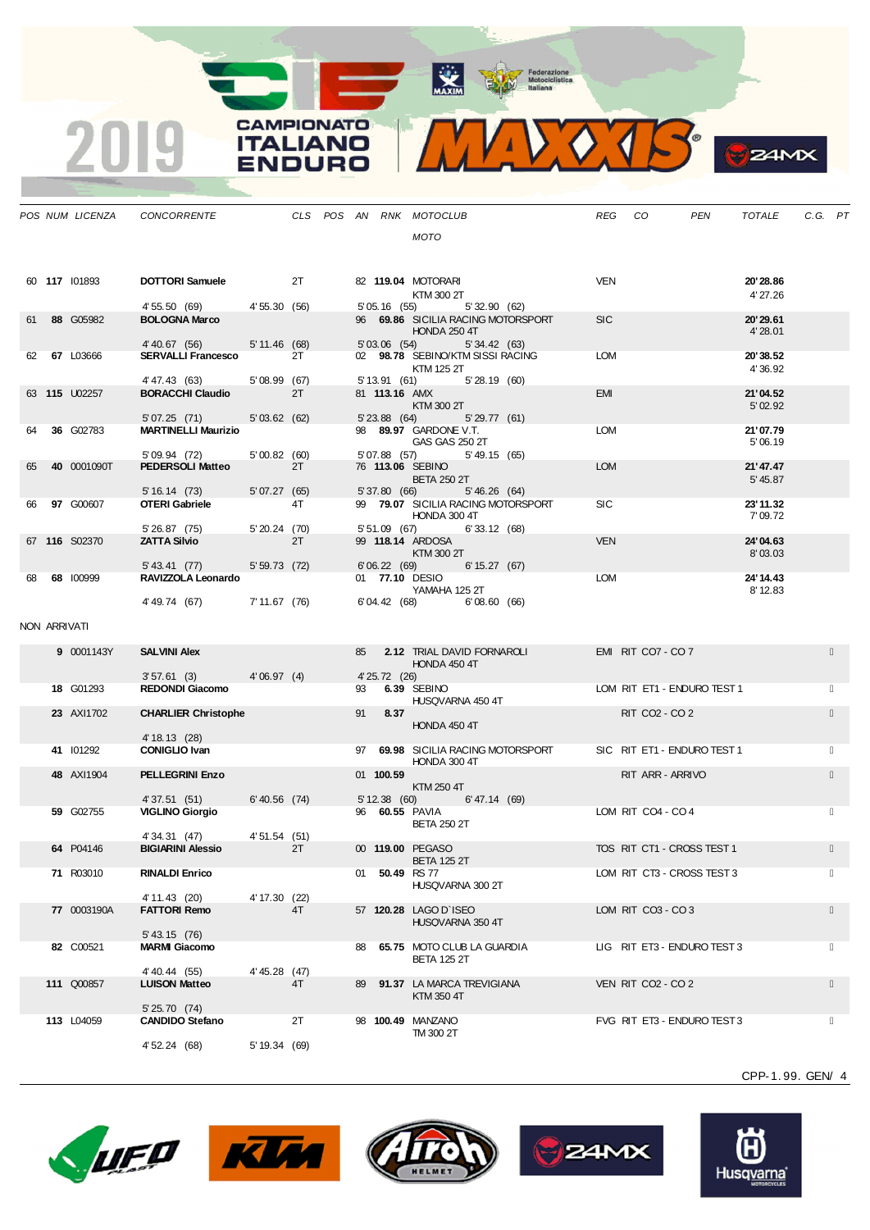MAXIM BOOR Motociclistica

**CAMPIONATO** VOTS.  $\mathbf{V}$ **ITALIANO ENDURO** 

|              | POS NUM LICENZA | <b>CONCORRENTE</b>                                  |                |    |    |                   | CLS POS AN RNK MOTOCLUB<br><b>MOTO</b>                    |               | REG CO     |                             | PEN | TOTALE                | C.G. PT |  |
|--------------|-----------------|-----------------------------------------------------|----------------|----|----|-------------------|-----------------------------------------------------------|---------------|------------|-----------------------------|-----|-----------------------|---------|--|
|              |                 |                                                     |                |    |    |                   |                                                           |               |            |                             |     |                       |         |  |
|              | 60 117 101893   | <b>DOTTORI Samuele</b>                              |                | 2T |    |                   | 82 119.04 MOTORARI<br>KTM 300 2T                          |               | VEN        |                             |     | 20'28.86<br>4'27.26   |         |  |
| 61 -         | 88 G05982       | 4' 55.50 (69) 4' 55.30 (56)<br><b>BOLOGNA Marco</b> |                |    |    | 5' 05.16 (55)     | 96 69.86 SICILIA RACING MOTORSPORT<br><b>HONDA 250 4T</b> | 5' 32.90 (62) | <b>SIC</b> |                             |     | 20'29.61<br>4'28.01   |         |  |
|              |                 | 4'40.67 (56)                                        | 5' 11.46 (68)  |    |    | 5'03.06 (54)      |                                                           | 5'34.42(63)   |            |                             |     |                       |         |  |
|              | 62 67 L03666    | <b>SERVALLI Francesco</b><br>4'47.43 (63)           | 5'08.99(67)    | 2T |    | 5' 13.91 (61)     | 02 98.78 SEBINO/KTM SISSI RACING<br>KTM 125 2T            | 5'28.19(60)   | <b>LOM</b> |                             |     | 20'38.52<br>4'36.92   |         |  |
|              | 63 115 U02257   | <b>BORACCHI Claudio</b>                             |                | 2T |    |                   | 81 <b>113.16 AMX</b><br>KTM 300 2T                        |               | <b>EMI</b> |                             |     | 21'04.52<br>5' 02.92  |         |  |
| 64           | 36 G02783       | 5'07.25(71)<br><b>MARTINELLI Maurizio</b>           | 5'03.62(62)    |    |    | $5'$ 23.88 $(64)$ | 98 89.97 GARDONE V.T.                                     | 5'29.77(61)   | <b>LOM</b> |                             |     | 21'07.79              |         |  |
|              |                 | 5' 09.94 (72)                                       | 5'00.82(60)    |    |    |                   | GAS GAS 250 2T<br>5'07.88 (57)                            | 5' 49.15 (65) |            |                             |     | 5'06.19               |         |  |
| 65           | 40 0001090T     | <b>PEDERSOLI Matteo</b>                             |                | 2T |    |                   | 76 113.06 SEBINO<br><b>BETA 250 2T</b><br>5'37.80 (66)    |               | <b>LOM</b> |                             |     | 21'47.47<br>5' 45.87  |         |  |
| 66           | 97 G00607       | 5' 16.14 (73)<br><b>OTERI Gabriele</b>              | 5'07.27(65)    | 4T |    |                   | 99 79.07 SICILIA RACING MOTORSPORT                        | 5' 46.26 (64) | <b>SIC</b> |                             |     | 23'11.32              |         |  |
|              |                 | 5' 26.87 (75)                                       | $5'20.24$ (70) |    |    |                   | HONDA 300 4T<br>5' 51.09 (67) 6' 33.12 (68)               |               |            |                             |     | 7'09.72               |         |  |
|              | 67 116 S02370   | <b>ZATTA Silvio</b>                                 |                | 2T |    |                   | 99 118.14 ARDOSA                                          |               | <b>VEN</b> |                             |     | 24'04.63              |         |  |
|              |                 | 5' 43.41 (77)                                       | 5' 59.73 (72)  |    |    |                   | KTM 300 2T<br>6' 06.22 (69)                               | 6' 15.27 (67) |            |                             |     | 8'03.03               |         |  |
|              | 68 68 100999    | RAVIZZOLA Leonardo                                  |                |    |    |                   | 01 77.10 DESIO<br>YAMAHA 125 2T                           |               | <b>LOM</b> |                             |     | 24' 14.43<br>8' 12.83 |         |  |
|              |                 | 4'49.74 (67)                                        | 7' 11.67 (76)  |    |    |                   | 6'04.42 (68)                                              | 6'08.60(66)   |            |                             |     |                       |         |  |
| NON ARRIVATI |                 |                                                     |                |    |    |                   |                                                           |               |            |                             |     |                       |         |  |
|              | 9 0001143Y      | <b>SALVINI Alex</b>                                 |                |    | 85 |                   | 2.12 TRIAL DAVID FORNAROLI<br>HONDA 450 4T                |               |            | EMI RIT CO7 - CO 7          |     |                       |         |  |
|              | 18 G01293       | 3'57.61(3)<br><b>REDONDI Giacomo</b>                | 4'06.97(4)     |    | 93 | 4' 25.72 (26)     | 6.39 SEBINO<br>HUSQVARNA 450 4T                           |               |            | LOM RIT ET1 - ENDURO TEST 1 |     |                       |         |  |
|              | 23 AXI1702      | <b>CHARLIER Christophe</b>                          |                |    | 91 | 8.37              | HONDA 450 4T                                              |               |            | RIT CO2 - CO 2              |     |                       |         |  |
|              |                 | 4' 18.13 (28)                                       |                |    |    |                   |                                                           |               |            |                             |     |                       |         |  |
|              | 41 101292       | <b>CONIGLIO Ivan</b>                                |                |    |    |                   | 97 69.98 SICILIA RACING MOTORSPORT<br>HONDA 300 4T        |               |            | SIC RIT ET1 - ENDURO TEST 1 |     |                       |         |  |
|              | 48 AXI1904      | <b>PELLEGRINI Enzo</b><br>4'37.51 (51)              | 6' 40.56 (74)  |    |    | 01 100.59         | KTM 250 4T                                                | 6'47.14 (69)  |            | RIT ARR - ARRIVO            |     |                       |         |  |
|              | 59 G02755       | <b>VIGLINO Giorgio</b>                              |                |    |    | 5' 12.38 (60)     | 96 60.55 PAVIA                                            |               |            | LOM RIT CO4 - CO 4          |     |                       |         |  |
|              |                 |                                                     |                |    |    |                   | <b>BETA 250 2T</b>                                        |               |            |                             |     |                       |         |  |
|              | 64 P04146       | 4' 34.31 (47)<br><b>BIGIARINI Alessio</b>           | 4'51.54(51)    | 2T |    |                   | 00 119.00 PEGASO<br><b>BETA 125 2T</b>                    |               |            | TOS RIT CT1 - CROSS TEST 1  |     |                       |         |  |
|              | 71 R03010       | <b>RINALDI Enrico</b>                               |                |    |    |                   | 01 50.49 RS 77<br>HUSQVARNA 300 2T                        |               |            | LOM RIT CT3 - CROSS TEST 3  |     |                       |         |  |
|              |                 | 4' 11.43 (20)                                       | 4' 17.30 (22)  |    |    |                   |                                                           |               |            |                             |     |                       |         |  |
|              | 77 0003190A     | <b>FATTORI Remo</b><br>5' 43.15 (76)                |                | 4T |    |                   | 57 120.28 LAGO D'ISEO<br>HUSQVARNA 350 4T                 |               |            | LOM RIT CO3 - CO3           |     |                       |         |  |
|              | 82 C00521       | <b>MARMI Giacomo</b>                                |                |    |    |                   | 88 65.75 MOTO CLUB LA GUARDIA                             |               |            | LIG RIT ET3 - ENDURO TEST 3 |     |                       |         |  |
|              |                 |                                                     |                |    |    |                   | <b>BETA 125 2T</b>                                        |               |            |                             |     |                       |         |  |
|              | 111 Q00857      | 4' 40.44 (55)<br><b>LUISON Matteo</b>               | 4' 45.28 (47)  | 4T | 89 |                   | 91.37 LA MARCA TREVIGIANA                                 |               |            | VEN RIT CO2 - CO 2          |     |                       |         |  |
|              |                 | 5' 25.70 (74)                                       |                |    |    |                   | KTM 350 4T                                                |               |            |                             |     |                       |         |  |
|              | 113 L04059      | <b>CANDIDO Stefano</b>                              |                | 2T |    |                   | 98 100.49 MANZANO                                         |               |            | FVG RIT ET3 - ENDURO TEST 3 |     |                       |         |  |
|              |                 | 4' 52.24 (68)                                       | 5' 19.34 (69)  |    |    |                   | TM 300 2T                                                 |               |            |                             |     |                       |         |  |



2019









CPP-1. 99. GEN/ 4

**S**ZAMX